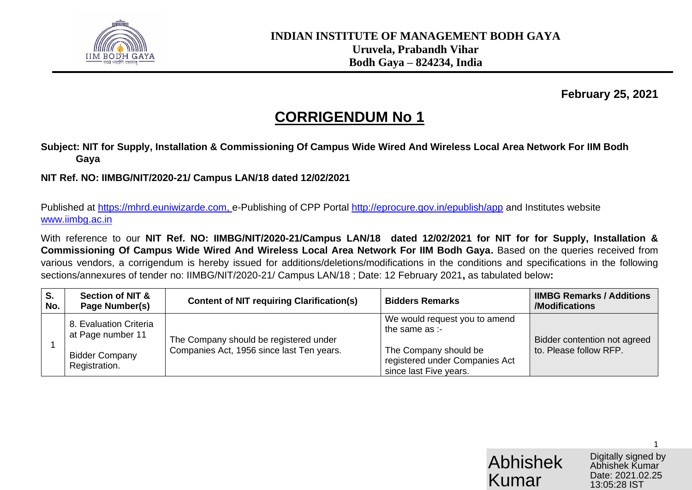

**February 25, 2021**

# **CORRIGENDUM No 1**

**Subject: NIT for Supply, Installation & Commissioning Of Campus Wide Wired And Wireless Local Area Network For IIM Bodh Gaya**

**NIT Ref. NO: IIMBG/NIT/2020-21/ Campus LAN/18 dated 12/02/2021**

Published at [https://mhrd.euniwizarde.com,](https://mhrd.euniwizarde.com/) e-Publishing of CPP Portal http://eprocure.gov.in/epublish/app and Institutes website [www.iimbg.ac.in](http://www.iimbg.ac.in/)

With reference to our **NIT Ref. NO: IIMBG/NIT/2020-21/Campus LAN/18 dated 12/02/2021 for NIT for for Supply, Installation & Commissioning Of Campus Wide Wired And Wireless Local Area Network For IIM Bodh Gaya.** Based on the queries received from various vendors, a corrigendum is hereby issued for additions/deletions/modifications in the conditions and specifications in the following sections/annexures of tender no: IIMBG/NIT/2020-21/ Campus LAN/18 ; Date: 12 February 2021**,** as tabulated below**:** 

| S.<br>No. | <b>Section of NIT &amp;</b><br>Page Number(s)                                         | <b>Content of NIT requiring Clarification(s)</b>                                    | <b>Bidders Remarks</b>                                                                                                               | <b>IIMBG Remarks / Additions</b><br>/Modifications     |
|-----------|---------------------------------------------------------------------------------------|-------------------------------------------------------------------------------------|--------------------------------------------------------------------------------------------------------------------------------------|--------------------------------------------------------|
|           | 8. Evaluation Criteria<br>at Page number 11<br><b>Bidder Company</b><br>Registration. | The Company should be registered under<br>Companies Act, 1956 since last Ten years. | We would request you to amend<br>the same as :-<br>The Company should be<br>registered under Companies Act<br>since last Five years. | Bidder contention not agreed<br>to. Please follow RFP. |

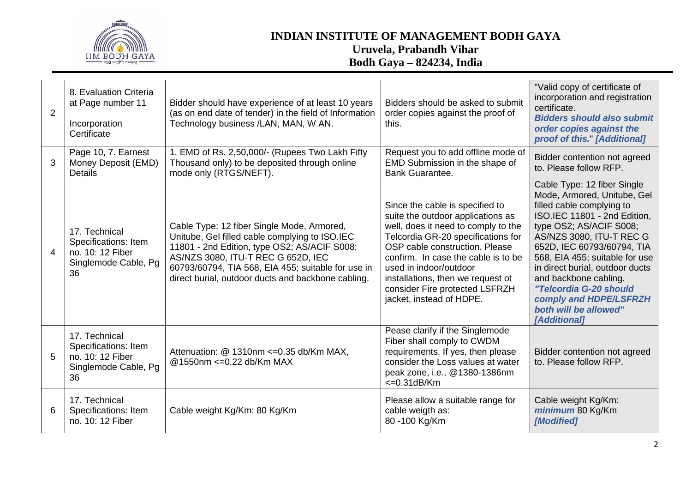

| 2 | 8. Evaluation Criteria<br>at Page number 11<br>Incorporation<br>Certificate             | Bidder should have experience of at least 10 years<br>(as on end date of tender) in the field of Information<br>Technology business /LAN, MAN, W AN.                                                                                                                                           | Bidders should be asked to submit<br>order copies against the proof of<br>this.                                                                                                                                                                                                                                                                         | "Valid copy of certificate of<br>incorporation and registration<br>certificate.<br><b>Bidders should also submit</b><br>order copies against the<br>proof of this." [Additional]                                                                                                                                                                                                                               |
|---|-----------------------------------------------------------------------------------------|------------------------------------------------------------------------------------------------------------------------------------------------------------------------------------------------------------------------------------------------------------------------------------------------|---------------------------------------------------------------------------------------------------------------------------------------------------------------------------------------------------------------------------------------------------------------------------------------------------------------------------------------------------------|----------------------------------------------------------------------------------------------------------------------------------------------------------------------------------------------------------------------------------------------------------------------------------------------------------------------------------------------------------------------------------------------------------------|
| 3 | Page 10, 7. Earnest<br>Money Deposit (EMD)<br><b>Details</b>                            | 1. EMD of Rs. 2,50,000/- (Rupees Two Lakh Fifty<br>Thousand only) to be deposited through online<br>mode only (RTGS/NEFT).                                                                                                                                                                     | Request you to add offline mode of<br>EMD Submission in the shape of<br><b>Bank Guarantee.</b>                                                                                                                                                                                                                                                          | Bidder contention not agreed<br>to. Please follow RFP.                                                                                                                                                                                                                                                                                                                                                         |
| 4 | 17. Technical<br>Specifications: Item<br>no. 10: 12 Fiber<br>Singlemode Cable, Pg<br>36 | Cable Type: 12 fiber Single Mode, Armored,<br>Unitube, Gel filled cable complying to ISO.IEC<br>11801 - 2nd Edition, type OS2; AS/ACIF S008;<br>AS/NZS 3080, ITU-T REC G 652D, IEC<br>60793/60794, TIA 568, EIA 455; suitable for use in<br>direct burial, outdoor ducts and backbone cabling. | Since the cable is specified to<br>suite the outdoor applications as<br>well, does it need to comply to the<br>Telcordia GR-20 specifications for<br>OSP cable construction. Please<br>confirm. In case the cable is to be<br>used in indoor/outdoor<br>installations, then we request ot<br>consider Fire protected LSFRZH<br>jacket, instead of HDPE. | Cable Type: 12 fiber Single<br>Mode, Armored, Unitube, Gel<br>filled cable complying to<br>ISO.IEC 11801 - 2nd Edition,<br>type OS2; AS/ACIF S008;<br>AS/NZS 3080, ITU-T REC G<br>652D, IEC 60793/60794, TIA<br>568, EIA 455; suitable for use<br>in direct burial, outdoor ducts<br>and backbone cabling.<br>"Telcordia G-20 should<br>comply and HDPE/LSFRZH<br>both will be allowed"<br><b>[Additional]</b> |
| 5 | 17. Technical<br>Specifications: Item<br>no. 10: 12 Fiber<br>Singlemode Cable, Pg<br>36 | Attenuation: @ 1310nm <= 0.35 db/Km MAX,<br>@1550nm <= 0.22 db/Km MAX                                                                                                                                                                                                                          | Pease clarify if the Singlemode<br>Fiber shall comply to CWDM<br>requirements. If yes, then please<br>consider the Loss values at water<br>peak zone, i.e., @1380-1386nm<br>$\epsilon$ =0.31dB/Km                                                                                                                                                       | Bidder contention not agreed<br>to. Please follow RFP.                                                                                                                                                                                                                                                                                                                                                         |
| 6 | 17. Technical<br>Specifications: Item<br>no. 10: 12 Fiber                               | Cable weight Kg/Km: 80 Kg/Km                                                                                                                                                                                                                                                                   | Please allow a suitable range for<br>cable weigth as:<br>80 -100 Kg/Km                                                                                                                                                                                                                                                                                  | Cable weight Kg/Km:<br>minimum 80 Kg/Km<br>[Modified]                                                                                                                                                                                                                                                                                                                                                          |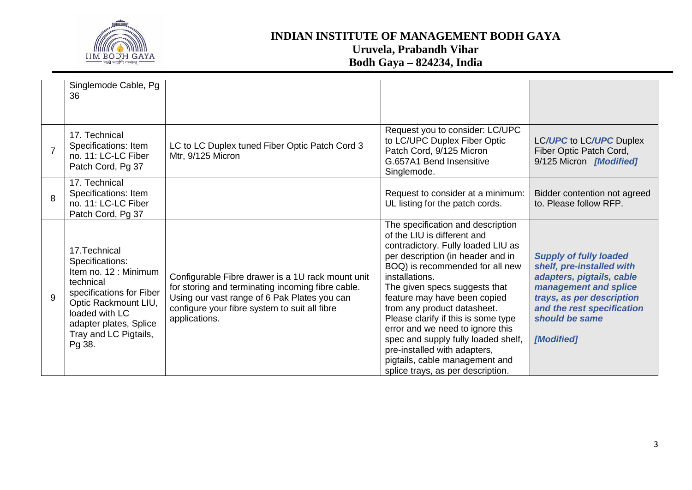

|                | Singlemode Cable, Pg<br>36                                                                                                                                                                                |                                                                                                                                                                                                                          |                                                                                                                                                                                                                                                                                                                                                                                                                                                                                                                           |                                                                                                                                                                                                             |
|----------------|-----------------------------------------------------------------------------------------------------------------------------------------------------------------------------------------------------------|--------------------------------------------------------------------------------------------------------------------------------------------------------------------------------------------------------------------------|---------------------------------------------------------------------------------------------------------------------------------------------------------------------------------------------------------------------------------------------------------------------------------------------------------------------------------------------------------------------------------------------------------------------------------------------------------------------------------------------------------------------------|-------------------------------------------------------------------------------------------------------------------------------------------------------------------------------------------------------------|
| $\overline{7}$ | 17. Technical<br>Specifications: Item<br>no. 11: LC-LC Fiber<br>Patch Cord, Pg 37                                                                                                                         | LC to LC Duplex tuned Fiber Optic Patch Cord 3<br>Mtr, 9/125 Micron                                                                                                                                                      | Request you to consider: LC/UPC<br>to LC/UPC Duplex Fiber Optic<br>Patch Cord, 9/125 Micron<br>G.657A1 Bend Insensitive<br>Singlemode.                                                                                                                                                                                                                                                                                                                                                                                    | LC/UPC to LC/UPC Duplex<br>Fiber Optic Patch Cord,<br>9/125 Micron [Modified]                                                                                                                               |
| 8              | 17. Technical<br>Specifications: Item<br>no. 11: LC-LC Fiber<br>Patch Cord, Pg 37                                                                                                                         |                                                                                                                                                                                                                          | Request to consider at a minimum:<br>UL listing for the patch cords.                                                                                                                                                                                                                                                                                                                                                                                                                                                      | Bidder contention not agreed<br>to. Please follow RFP.                                                                                                                                                      |
| 9              | 17. Technical<br>Specifications:<br>Item no. 12 : Minimum<br>technical<br>specifications for Fiber<br>Optic Rackmount LIU,<br>loaded with LC<br>adapter plates, Splice<br>Tray and LC Pigtails,<br>Pg 38. | Configurable Fibre drawer is a 1U rack mount unit<br>for storing and terminating incoming fibre cable.<br>Using our vast range of 6 Pak Plates you can<br>configure your fibre system to suit all fibre<br>applications. | The specification and description<br>of the LIU is different and<br>contradictory. Fully loaded LIU as<br>per description (in header and in<br>BOQ) is recommended for all new<br>installations.<br>The given specs suggests that<br>feature may have been copied<br>from any product datasheet.<br>Please clarify if this is some type<br>error and we need to ignore this<br>spec and supply fully loaded shelf,<br>pre-installed with adapters,<br>pigtails, cable management and<br>splice trays, as per description. | <b>Supply of fully loaded</b><br>shelf, pre-installed with<br>adapters, pigtails, cable<br>management and splice<br>trays, as per description<br>and the rest specification<br>should be same<br>[Modified] |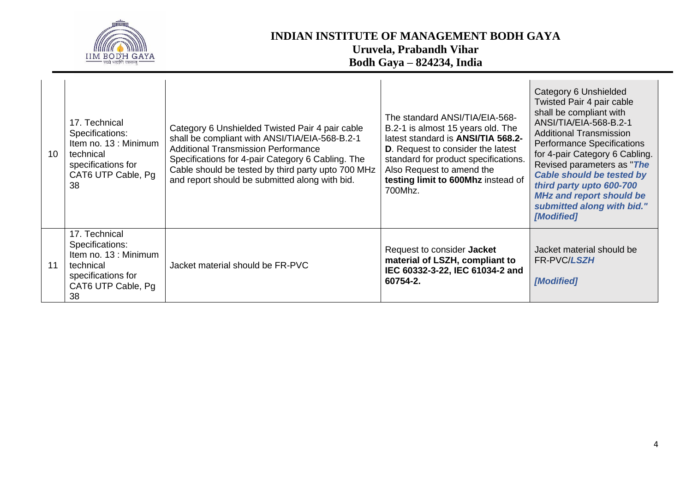

| 10 <sup>°</sup> | 17. Technical<br>Specifications:<br>Item no. 13 : Minimum<br>technical<br>specifications for<br>CAT6 UTP Cable, Pg<br>38 | Category 6 Unshielded Twisted Pair 4 pair cable<br>shall be compliant with ANSI/TIA/EIA-568-B.2-1<br><b>Additional Transmission Performance</b><br>Specifications for 4-pair Category 6 Cabling. The<br>Cable should be tested by third party upto 700 MHz<br>and report should be submitted along with bid. | The standard ANSI/TIA/EIA-568-<br>B.2-1 is almost 15 years old. The<br>latest standard is <b>ANSI/TIA 568.2-</b><br><b>D.</b> Request to consider the latest<br>standard for product specifications.<br>Also Request to amend the<br>testing limit to 600Mhz instead of<br>700Mhz. | Category 6 Unshielded<br>Twisted Pair 4 pair cable<br>shall be compliant with<br>ANSI/TIA/EIA-568-B.2-1<br><b>Additional Transmission</b><br><b>Performance Specifications</b><br>for 4-pair Category 6 Cabling.<br>Revised parameters as "The<br><b>Cable should be tested by</b><br>third party upto 600-700<br><b>MHz and report should be</b><br>submitted along with bid."<br>[Modified] |
|-----------------|--------------------------------------------------------------------------------------------------------------------------|--------------------------------------------------------------------------------------------------------------------------------------------------------------------------------------------------------------------------------------------------------------------------------------------------------------|------------------------------------------------------------------------------------------------------------------------------------------------------------------------------------------------------------------------------------------------------------------------------------|-----------------------------------------------------------------------------------------------------------------------------------------------------------------------------------------------------------------------------------------------------------------------------------------------------------------------------------------------------------------------------------------------|
| 11              | 17. Technical<br>Specifications:<br>Item no. 13 : Minimum<br>technical<br>specifications for<br>CAT6 UTP Cable, Pg<br>38 | Jacket material should be FR-PVC                                                                                                                                                                                                                                                                             | Request to consider Jacket<br>material of LSZH, compliant to<br>IEC 60332-3-22, IEC 61034-2 and<br>60754-2.                                                                                                                                                                        | Jacket material should be<br>FR-PVC/LSZH<br>[Modified]                                                                                                                                                                                                                                                                                                                                        |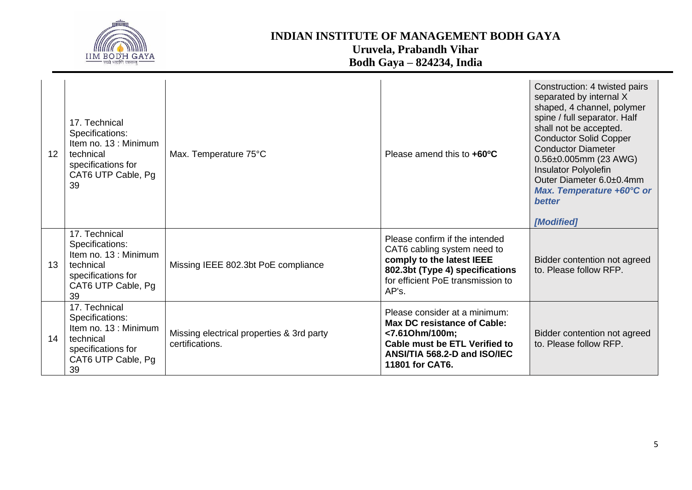

| 12 <sup>2</sup> | 17. Technical<br>Specifications:<br>Item no. 13 : Minimum<br>technical<br>specifications for<br>CAT6 UTP Cable, Pg<br>39 | Max. Temperature 75°C                                        | Please amend this to +60°C                                                                                                                                                       | Construction: 4 twisted pairs<br>separated by internal X<br>shaped, 4 channel, polymer<br>spine / full separator. Half<br>shall not be accepted.<br><b>Conductor Solid Copper</b><br><b>Conductor Diameter</b><br>0.56±0.005mm (23 AWG)<br><b>Insulator Polyolefin</b><br>Outer Diameter 6.0±0.4mm<br>Max. Temperature +60°C or<br><b>better</b><br>[Modified] |
|-----------------|--------------------------------------------------------------------------------------------------------------------------|--------------------------------------------------------------|----------------------------------------------------------------------------------------------------------------------------------------------------------------------------------|----------------------------------------------------------------------------------------------------------------------------------------------------------------------------------------------------------------------------------------------------------------------------------------------------------------------------------------------------------------|
| 13              | 17. Technical<br>Specifications:<br>Item no. 13 : Minimum<br>technical<br>specifications for<br>CAT6 UTP Cable, Pg<br>39 | Missing IEEE 802.3bt PoE compliance                          | Please confirm if the intended<br>CAT6 cabling system need to<br>comply to the latest IEEE<br>802.3bt (Type 4) specifications<br>for efficient PoE transmission to<br>AP's.      | Bidder contention not agreed<br>to. Please follow RFP.                                                                                                                                                                                                                                                                                                         |
| 14              | 17. Technical<br>Specifications:<br>Item no. 13 : Minimum<br>technical<br>specifications for<br>CAT6 UTP Cable, Pg<br>39 | Missing electrical properties & 3rd party<br>certifications. | Please consider at a minimum:<br><b>Max DC resistance of Cable:</b><br><7.61Ohm/100m;<br><b>Cable must be ETL Verified to</b><br>ANSI/TIA 568.2-D and ISO/IEC<br>11801 for CAT6. | Bidder contention not agreed<br>to. Please follow RFP.                                                                                                                                                                                                                                                                                                         |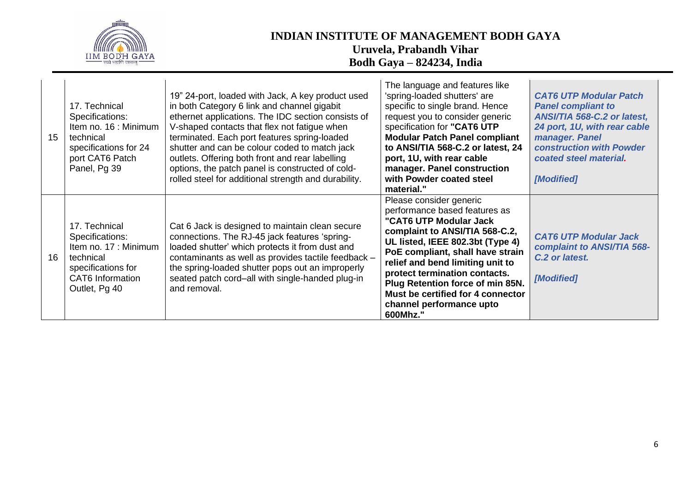

| 15 <sup>15</sup> | 17. Technical<br>Specifications:<br>Item no. 16 : Minimum<br>technical<br>specifications for 24<br>port CAT6 Patch<br>Panel, Pg 39       | 19" 24-port, loaded with Jack, A key product used<br>in both Category 6 link and channel gigabit<br>ethernet applications. The IDC section consists of<br>V-shaped contacts that flex not fatigue when<br>terminated. Each port features spring-loaded<br>shutter and can be colour coded to match jack<br>outlets. Offering both front and rear labelling<br>options, the patch panel is constructed of cold-<br>rolled steel for additional strength and durability. | The language and features like<br>'spring-loaded shutters' are<br>specific to single brand. Hence<br>request you to consider generic<br>specification for "CAT6 UTP<br><b>Modular Patch Panel compliant</b><br>to ANSI/TIA 568-C.2 or latest, 24<br>port, 1U, with rear cable<br>manager. Panel construction<br>with Powder coated steel<br>material."                             | <b>CAT6 UTP Modular Patch</b><br><b>Panel compliant to</b><br>ANSI/TIA 568-C.2 or latest,<br>24 port, 1U, with rear cable<br>manager. Panel<br><b>construction with Powder</b><br>coated steel material.<br>[Modified] |
|------------------|------------------------------------------------------------------------------------------------------------------------------------------|------------------------------------------------------------------------------------------------------------------------------------------------------------------------------------------------------------------------------------------------------------------------------------------------------------------------------------------------------------------------------------------------------------------------------------------------------------------------|------------------------------------------------------------------------------------------------------------------------------------------------------------------------------------------------------------------------------------------------------------------------------------------------------------------------------------------------------------------------------------|------------------------------------------------------------------------------------------------------------------------------------------------------------------------------------------------------------------------|
| 16               | 17. Technical<br>Specifications:<br>Item no. 17 : Minimum<br>technical<br>specifications for<br><b>CAT6</b> Information<br>Outlet, Pg 40 | Cat 6 Jack is designed to maintain clean secure<br>connections. The RJ-45 jack features 'spring-<br>loaded shutter' which protects it from dust and<br>contaminants as well as provides tactile feedback -<br>the spring-loaded shutter pops out an improperly<br>seated patch cord-all with single-handed plug-in<br>and removal.                                                                                                                                     | Please consider generic<br>performance based features as<br>"CAT6 UTP Modular Jack<br>complaint to ANSI/TIA 568-C.2,<br>UL listed, IEEE 802.3bt (Type 4)<br>PoE compliant, shall have strain<br>relief and bend limiting unit to<br>protect termination contacts.<br>Plug Retention force of min 85N.<br>Must be certified for 4 connector<br>channel performance upto<br>600Mhz." | <b>CAT6 UTP Modular Jack</b><br>complaint to ANSI/TIA 568-<br>C.2 or latest.<br>[Modified]                                                                                                                             |